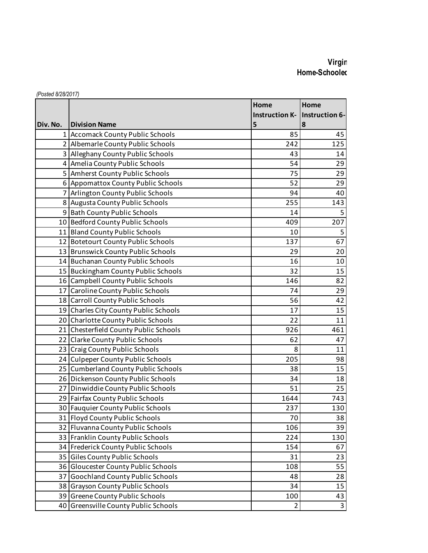## **Virgin** Home-Schooled

|          |                                       | Home                  | Home           |
|----------|---------------------------------------|-----------------------|----------------|
|          |                                       | <b>Instruction K-</b> | Instruction 6- |
| Div. No. | <b>Division Name</b>                  | 5                     | 8              |
|          | 1 Accomack County Public Schools      | 85                    | 45             |
|          | 2 Albemarle County Public Schools     | 242                   | 125            |
|          | 3 Alleghany County Public Schools     | 43                    | 14             |
|          | 4 Amelia County Public Schools        | 54                    | 29             |
|          | 5 Amherst County Public Schools       | 75                    | 29             |
|          | 6 Appomattox County Public Schools    | 52                    | 29             |
|          | 7 Arlington County Public Schools     | 94                    | 40             |
|          | 8 Augusta County Public Schools       | 255                   | 143            |
|          | 9 Bath County Public Schools          | 14                    | 5              |
|          | 10 Bedford County Public Schools      | 409                   | 207            |
|          | 11 Bland County Public Schools        | 10                    | 5              |
|          | 12 Botetourt County Public Schools    | 137                   | 67             |
|          | 13 Brunswick County Public Schools    | 29                    | 20             |
|          | 14 Buchanan County Public Schools     | 16                    | 10             |
|          | 15 Buckingham County Public Schools   | 32                    | 15             |
|          | 16 Campbell County Public Schools     | 146                   | 82             |
|          | 17 Caroline County Public Schools     | 74                    | 29             |
|          | 18 Carroll County Public Schools      | 56                    | 42             |
|          | 19 Charles City County Public Schools | 17                    | 15             |
|          | 20 Charlotte County Public Schools    | 22                    | 11             |
|          | 21 Chesterfield County Public Schools | 926                   | 461            |
|          | 22 Clarke County Public Schools       | 62                    | 47             |
|          | 23 Craig County Public Schools        | 8                     | 11             |
|          | 24 Culpeper County Public Schools     | 205                   | 98             |
|          | 25 Cumberland County Public Schools   | 38                    | 15             |
|          | 26 Dickenson County Public Schools    | 34                    | 18             |
|          | 27 Dinwiddie County Public Schools    | 51                    | 25             |
|          | 29 Fairfax County Public Schools      | 1644                  | 743            |
|          | 30 Fauguier County Public Schools     | 237                   | 130            |
|          | 31 Floyd County Public Schools        | 70                    | 38             |
|          | 32 Fluvanna County Public Schools     | 106                   | 39             |
|          | 33 Franklin County Public Schools     | 224                   | 130            |
|          | 34 Frederick County Public Schools    | 154                   | 67             |
|          | 35 Giles County Public Schools        | 31                    | 23             |
|          | 36 Gloucester County Public Schools   | 108                   | 55             |
|          | 37 Goochland County Public Schools    | 48                    | 28             |
|          | 38 Grayson County Public Schools      | 34                    | 15             |
|          | 39 Greene County Public Schools       | 100                   | 43             |
|          | 40 Greensville County Public Schools  | 2                     | 3              |

*(Posted 8/28/2017)*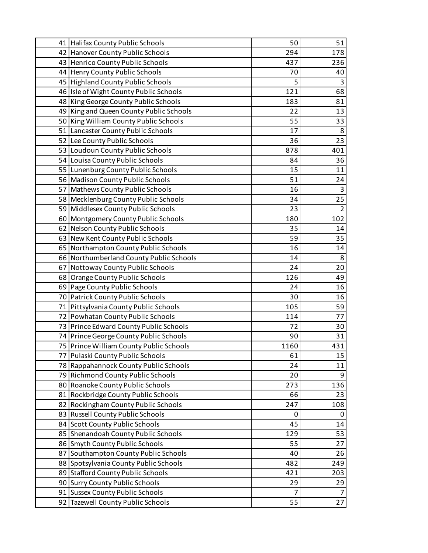| 41 Halifax County Public Schools        | 50   | 51             |
|-----------------------------------------|------|----------------|
| 42 Hanover County Public Schools        | 294  | 178            |
| 43 Henrico County Public Schools        | 437  | 236            |
| 44 Henry County Public Schools          | 70   | 40             |
| 45 Highland County Public Schools       | 5    | 3              |
| 46 Isle of Wight County Public Schools  | 121  | 68             |
| 48 King George County Public Schools    | 183  | 81             |
| 49 King and Queen County Public Schools | 22   | 13             |
| 50 King William County Public Schools   | 55   | 33             |
| 51 Lancaster County Public Schools      | 17   | 8              |
| 52 Lee County Public Schools            | 36   | 23             |
| 53 Loudoun County Public Schools        | 878  | 401            |
| 54 Louisa County Public Schools         | 84   | 36             |
| 55 Lunenburg County Public Schools      | 15   | 11             |
| 56 Madison County Public Schools        | 51   | 24             |
| 57 Mathews County Public Schools        | 16   | 3              |
| 58 Mecklenburg County Public Schools    | 34   | 25             |
| 59 Middlesex County Public Schools      | 23   | $\overline{2}$ |
| 60 Montgomery County Public Schools     | 180  | 102            |
| 62 Nelson County Public Schools         | 35   | 14             |
| 63 New Kent County Public Schools       | 59   | 35             |
| 65 Northampton County Public Schools    | 16   | 14             |
| 66 Northumberland County Public Schools | 14   | 8              |
| 67 Nottoway County Public Schools       | 24   | 20             |
| 68 Orange County Public Schools         | 126  | 49             |
| 69 Page County Public Schools           | 24   | 16             |
| 70 Patrick County Public Schools        | 30   | 16             |
| 71 Pittsylvania County Public Schools   | 105  | 59             |
| 72 Powhatan County Public Schools       | 114  | 77             |
| 73 Prince Edward County Public Schools  | 72   | 30             |
| 74 Prince George County Public Schools  | 90   | 31             |
| 75 Prince William County Public Schools | 1160 | 431            |
| 77 Pulaski County Public Schools        | 61   | 15             |
| 78 Rappahannock County Public Schools   | 24   | 11             |
| 79 Richmond County Public Schools       | 20   | 9              |
| 80 Roanoke County Public Schools        | 273  | 136            |
| 81 Rockbridge County Public Schools     | 66   | 23             |
| 82 Rockingham County Public Schools     | 247  | 108            |
| 83 Russell County Public Schools        | 0    | 0              |
| 84 Scott County Public Schools          | 45   | 14             |
| 85 Shenandoah County Public Schools     | 129  | 53             |
| 86 Smyth County Public Schools          | 55   | 27             |
| 87 Southampton County Public Schools    | 40   | 26             |
| 88 Spotsylvania County Public Schools   | 482  | 249            |
| 89 Stafford County Public Schools       | 421  | 203            |
| 90 Surry County Public Schools          | 29   | 29             |
| 91 Sussex County Public Schools         | 7    | 7              |
| 92 Tazewell County Public Schools       | 55   | 27             |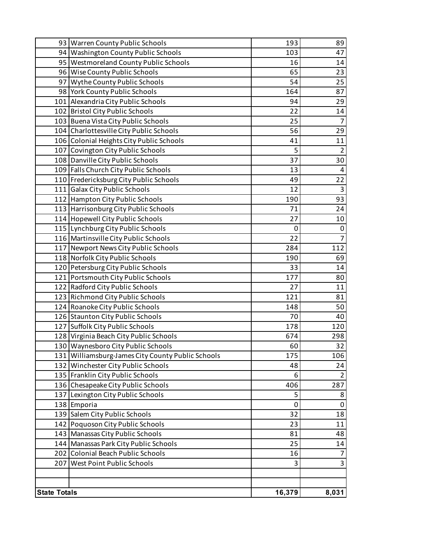|                     | 93 Warren County Public Schools                     | 193    | 89             |
|---------------------|-----------------------------------------------------|--------|----------------|
|                     | 94 Washington County Public Schools                 | 103    | 47             |
|                     | 95 Westmoreland County Public Schools               | 16     | 14             |
|                     | 96 Wise County Public Schools                       | 65     | 23             |
|                     | 97 Wythe County Public Schools                      | 54     | 25             |
|                     | 98 York County Public Schools                       | 164    | 87             |
|                     | 101 Alexandria City Public Schools                  | 94     | 29             |
|                     | 102 Bristol City Public Schools                     | 22     | 14             |
|                     | 103 Buena Vista City Public Schools                 | 25     | $\overline{7}$ |
|                     | 104 Charlottesville City Public Schools             | 56     | 29             |
|                     | 106 Colonial Heights City Public Schools            | 41     | 11             |
|                     | 107 Covington City Public Schools                   | 5      | $\overline{2}$ |
|                     | 108 Danville City Public Schools                    | 37     | 30             |
|                     | 109 Falls Church City Public Schools                | 13     | 4              |
|                     | 110 Fredericksburg City Public Schools              | 49     | 22             |
|                     | 111 Galax City Public Schools                       | 12     | 3              |
|                     | 112 Hampton City Public Schools                     | 190    | 93             |
|                     | 113 Harrisonburg City Public Schools                | 71     | 24             |
|                     | 114 Hopewell City Public Schools                    | 27     | 10             |
|                     | 115 Lynchburg City Public Schools                   | 0      | 0              |
|                     | 116 Martinsville City Public Schools                | 22     | $\overline{7}$ |
|                     | 117 Newport News City Public Schools                | 284    | 112            |
|                     | 118 Norfolk City Public Schools                     | 190    | 69             |
|                     | 120   Petersburg City Public Schools                | 33     | 14             |
|                     | 121 Portsmouth City Public Schools                  | 177    | 80             |
|                     | 122 Radford City Public Schools                     | 27     | 11             |
|                     | 123 Richmond City Public Schools                    | 121    | 81             |
|                     | 124 Roanoke City Public Schools                     | 148    | 50             |
|                     | 126 Staunton City Public Schools                    | 70     | 40             |
|                     | 127 Suffolk City Public Schools                     | 178    | 120            |
|                     | 128 Virginia Beach City Public Schools              | 674    | 298            |
|                     | 130 Waynesboro City Public Schools                  | 60     | 32             |
|                     | 131   Williamsburg-James City County Public Schools | 175    | 106            |
|                     | 132 Winchester City Public Schools                  | 48     | 24             |
|                     | 135 Franklin City Public Schools                    | 6      | $\overline{2}$ |
|                     | 136 Chesapeake City Public Schools                  | 406    | 287            |
|                     | 137 Lexington City Public Schools                   | 5      | 8              |
|                     | 138 Emporia                                         | 0      | 0              |
|                     | 139 Salem City Public Schools                       | 32     | 18             |
|                     | 142 Poquoson City Public Schools                    | 23     | 11             |
|                     | 143 Manassas City Public Schools                    | 81     | 48             |
|                     | 144 Manassas Park City Public Schools               | 25     | 14             |
|                     | 202 Colonial Beach Public Schools                   | 16     | $\overline{7}$ |
|                     | 207 West Point Public Schools                       | 3      | 3              |
|                     |                                                     |        |                |
|                     |                                                     |        |                |
| <b>State Totals</b> |                                                     | 16,379 | 8,031          |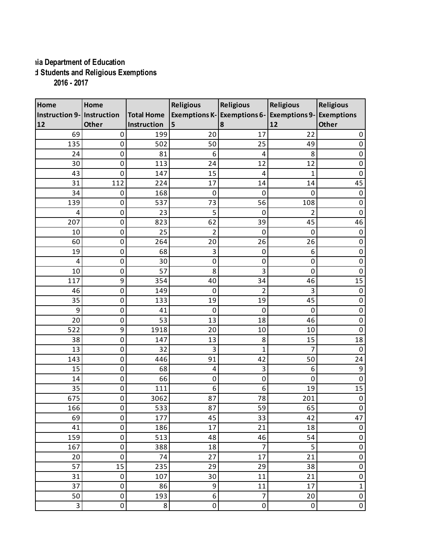## **Virginia Department of Education Home-Schooled Students and Religious Exemptions 2016 - 2017**

| Home                       | Home             |                   | <b>Religious</b>          | Religious                  | <b>Religious</b>        | <b>Religious</b> |
|----------------------------|------------------|-------------------|---------------------------|----------------------------|-------------------------|------------------|
| Instruction 9- Instruction |                  | <b>Total Home</b> |                           | Exemptions K-Exemptions 6- | Exemptions 9-Exemptions |                  |
| 12                         | Other            | Instruction       | 5                         | 8                          | 12                      | Other            |
| 69                         | 0                | 199               | 20                        | 17                         | 22                      | 0                |
| 135                        | $\mathbf 0$      | 502               | 50                        | 25                         | 49                      | $\pmb{0}$        |
| 24                         | 0                | 81                | 6                         | 4                          | 8                       | $\pmb{0}$        |
| 30                         | 0                | 113               | 24                        | 12                         | 12                      | $\pmb{0}$        |
| 43                         | $\mathbf 0$      | 147               | 15                        | 4                          | 1                       | $\pmb{0}$        |
| 31                         | 112              | 224               | 17                        | 14                         | 14                      | 45               |
| 34                         | 0                | 168               | 0                         | 0                          | 0                       | $\pmb{0}$        |
| 139                        | $\mathbf 0$      | 537               | 73                        | 56                         | 108                     | $\pmb{0}$        |
| 4                          | 0                | 23                | 5                         | $\mathbf 0$                | 2                       | $\pmb{0}$        |
| 207                        | $\mathbf 0$      | 823               | 62                        | 39                         | 45                      | 46               |
| 10                         | $\boldsymbol{0}$ | 25                | $\overline{2}$            | $\mathbf 0$                | $\mathbf 0$             | $\pmb{0}$        |
| 60                         | $\mathbf 0$      | 264               | 20                        | 26                         | 26                      | $\pmb{0}$        |
| 19                         | $\mathbf 0$      | 68                | $\ensuremath{\mathsf{3}}$ | $\mathbf 0$                | 6                       | $\pmb{0}$        |
| 4                          | $\boldsymbol{0}$ | 30                | $\pmb{0}$                 | 0                          | $\mathbf 0$             | $\pmb{0}$        |
| 10                         | 0                | 57                | 8                         | 3                          | $\mathbf 0$             | $\pmb{0}$        |
| 117                        | 9                | 354               | 40                        | 34                         | 46                      | 15               |
| 46                         | $\boldsymbol{0}$ | 149               | $\mathbf 0$               | $\overline{2}$             | 3                       | $\pmb{0}$        |
| 35                         | 0                | 133               | 19                        | 19                         | 45                      | $\pmb{0}$        |
| 9                          | $\mathbf 0$      | 41                | 0                         | 0                          | 0                       | $\pmb{0}$        |
| 20                         | $\pmb{0}$        | 53                | 13                        | 18                         | 46                      | $\pmb{0}$        |
| 522                        | 9                | 1918              | 20                        | 10                         | 10                      | $\mathbf 0$      |
| 38                         | 0                | 147               | 13                        | 8                          | 15                      | 18               |
| 13                         | $\boldsymbol{0}$ | 32                | 3                         | $\mathbf{1}$               | 7                       | $\pmb{0}$        |
| 143                        | 0                | 446               | 91                        | 42                         | 50                      | 24               |
| 15                         | 0                | 68                | 4                         | 3                          | 6                       | 9                |
| 14                         | $\pmb{0}$        | 66                | $\boldsymbol{0}$          | 0                          | $\mathbf 0$             | $\pmb{0}$        |
| 35                         | 0                | 111               | 6                         | 6                          | 19                      | 15               |
| 675                        | 0                | 3062              | 87                        | 78                         | 201                     | $\pmb{0}$        |
| 166                        | 0                | 533               | 87                        | 59                         | 65                      | $\pmb{0}$        |
| 69                         | 0                | 177               | 45                        | 33                         | 42                      | 47               |
| 41                         | 0                | 186               | 17                        | 21                         | 18                      | $\pmb{0}$        |
| 159                        | $\pmb{0}$        | 513               | 48                        | 46                         | 54                      | 0                |
| 167                        | 0                | 388               | 18                        | $\overline{7}$             | $\overline{5}$          | $\pmb{0}$        |
| 20                         | $\mathbf 0$      | 74                | 27                        | 17                         | 21                      | $\pmb{0}$        |
| 57                         | 15               | 235               | 29                        | 29                         | 38                      | $\pmb{0}$        |
| 31                         | 0                | 107               | 30                        | 11                         | 21                      | $\pmb{0}$        |
| 37                         | $\pmb{0}$        | 86                | 9                         | 11                         | 17                      | $\mathbf 1$      |
| 50                         | $\pmb{0}$        | 193               | 6                         | $\overline{7}$             | 20                      | $\pmb{0}$        |
| 3                          | 0                | 8                 | 0                         | $\pmb{0}$                  | $\pmb{0}$               | $\pmb{0}$        |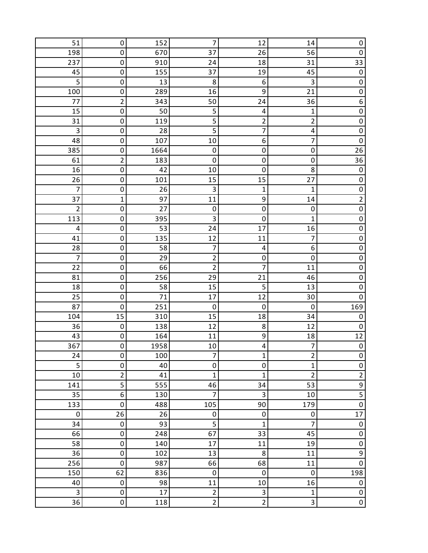| 51             | 0                | 152        | 7                       | 12                      | 14                      | 0                                |
|----------------|------------------|------------|-------------------------|-------------------------|-------------------------|----------------------------------|
| 198            | 0                | 670        | 37                      | 26                      | 56                      | $\pmb{0}$                        |
| 237            | 0                | 910        | 24                      | 18                      | 31                      | 33                               |
| 45             | 0                | 155        | 37                      | 19                      | 45                      | $\pmb{0}$                        |
| 5              | $\mathbf 0$      | 13         | 8                       | $\boldsymbol{6}$        | 3                       | $\pmb{0}$                        |
| 100            | 0                | 289        | 16                      | 9                       | 21                      | $\mathsf{O}\xspace$              |
| 77             | $\overline{2}$   | 343        | 50                      | 24                      | 36                      | 6                                |
| 15             | $\mathbf 0$      | 50         | 5                       | 4                       | 1                       | $\pmb{0}$                        |
| 31             | 0                | 119        | 5                       | 2                       | $\overline{\mathbf{c}}$ | $\mathsf{O}\xspace$              |
| $\mathsf 3$    | 0                | 28         | 5                       | 7                       | 4                       | $\pmb{0}$                        |
| 48             | $\mathbf 0$      | 107        | 10                      | 6                       | 7                       | $\mathbf 0$                      |
| 385            | 0                | 1664       | $\pmb{0}$               | 0                       | 0                       | 26                               |
| 61             | $\overline{2}$   | 183        | $\mathbf 0$             | $\mathbf 0$             | $\mathbf 0$             | 36                               |
| 16             | $\mathbf 0$      | 42         | 10                      | $\mathbf 0$             | 8                       | $\pmb{0}$<br>$\mathsf{O}\xspace$ |
| 26<br>7        | 0<br>0           | 101<br>26  | 15<br>3                 | 15                      | 27<br>1                 | $\mathsf 0$                      |
| 37             | 1                | 97         | 11                      | 1<br>9                  | 14                      | $\overline{2}$                   |
| $\overline{c}$ | 0                | 27         | $\pmb{0}$               | $\mathbf 0$             | 0                       | $\mathbf 0$                      |
| 113            | 0                | 395        | 3                       | $\mathbf 0$             | 1                       | $\mathsf 0$                      |
| 4              | 0                | 53         | 24                      | 17                      | 16                      | $\pmb{0}$                        |
| 41             | 0                | 135        | 12                      | 11                      | 7                       | $\mathsf{O}\xspace$              |
| 28             | 0                | 58         | 7                       | 4                       | 6                       | $\pmb{0}$                        |
| $\overline{7}$ | 0                | 29         | $\overline{c}$          | 0                       | $\mathbf 0$             | $\pmb{0}$                        |
| 22             | 0                | 66         | $\overline{\mathbf{c}}$ | $\overline{7}$          | 11                      | $\mathsf{O}\xspace$              |
| 81             | 0                | 256        | 29                      | 21                      | 46                      | $\pmb{0}$                        |
| 18             | 0                | 58         | 15                      | 5                       | 13                      | $\mathsf{O}\xspace$              |
| 25             | 0                | 71         | 17                      | 12                      | 30                      | $\pmb{0}$                        |
| 87             | 0                | 251        | 0                       | $\mathbf 0$             | 0                       | 169                              |
| 104            | 15               | 310        | 15                      | 18                      | 34                      | $\pmb{0}$                        |
| 36             | $\pmb{0}$        | 138        | 12                      | 8                       | 12                      | $\pmb{0}$                        |
| 43             | 0                | 164        | 11                      | 9                       | 18                      | 12                               |
| 367            | 0                | 1958       | $10\,$                  | 4                       | $\overline{7}$          | $\pmb{0}$                        |
| 24             | 0                | 100        | $\overline{7}$          | 1                       | 2                       | 0                                |
| 5              | 0                | 40         | 0                       | 0                       | $\mathbf{1}$            | $\pmb{0}$                        |
| 10             | $\overline{2}$   | 41         | $\mathbf{1}$            | 1                       | $\overline{2}$          | $\overline{2}$                   |
| 141            | 5                | 555        | 46                      | 34                      | 53                      | $\overline{9}$                   |
| 35             | 6                | 130        | 7                       | $\mathsf 3$             | 10                      | $\overline{\mathbf{5}}$          |
| 133            | $\boldsymbol{0}$ | 488        | 105                     | 90                      | 179                     | $\overline{0}$                   |
| 0              | 26               | 26         | 0                       | $\pmb{0}$               | 0                       | 17                               |
| 34             | $\pmb{0}$        | 93         | 5                       | 1                       | 7                       | $\pmb{0}$                        |
| 66             | 0                | 248        | 67                      | 33                      | 45                      | $\pmb{0}$                        |
| 58<br>36       | 0<br>$\mathbf 0$ | 140<br>102 | $17\,$<br>13            | 11<br>8                 | 19<br>11                | $\mathbf 0$<br>$\overline{9}$    |
| 256            | $\boldsymbol{0}$ | 987        | 66                      | 68                      | 11                      | $\pmb{0}$                        |
| 150            | 62               | 836        | 0                       | $\pmb{0}$               | $\pmb{0}$               | 198                              |
| 40             | $\pmb{0}$        | 98         | 11                      | 10                      | 16                      | $\pmb{0}$                        |
| 3              | 0                | 17         | $\overline{c}$          | 3                       | 1                       | $\pmb{0}$                        |
| 36             | 0                | 118        | $\overline{2}$          | $\overline{\mathbf{c}}$ | 3                       | $\pmb{0}$                        |
|                |                  |            |                         |                         |                         |                                  |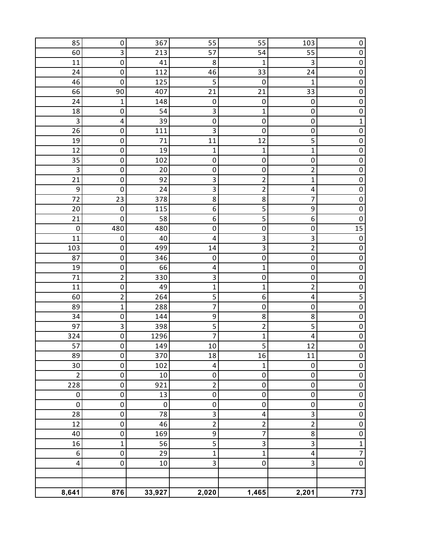| 85                      | 0                | 367         | 55                        | 55                      | 103                           | 0                   |
|-------------------------|------------------|-------------|---------------------------|-------------------------|-------------------------------|---------------------|
| 60                      | 3                | 213         | 57                        | 54                      | 55                            | $\mathsf{O}\xspace$ |
| 11                      | $\pmb{0}$        | 41          | 8                         | $\mathbf 1$             | 3                             | $\mathbf 0$         |
| 24                      | $\pmb{0}$        | 112         | 46                        | 33                      | 24                            | $\mathbf 0$         |
| 46                      | $\pmb{0}$        | 125         | 5                         | $\pmb{0}$               | $\mathbf{1}$                  | $\pmb{0}$           |
| 66                      | 90               | 407         | 21                        | 21                      | 33                            | $\mathbf 0$         |
| 24                      | $\mathbf 1$      | 148         | $\pmb{0}$                 | $\pmb{0}$               | $\pmb{0}$                     | $\pmb{0}$           |
| 18                      | 0                | 54          | $\ensuremath{\mathsf{3}}$ | $\mathbf 1$             | 0                             | $\pmb{0}$           |
| $\mathsf 3$             | 4                | 39          | $\pmb{0}$                 | $\pmb{0}$               | $\pmb{0}$                     | $\mathbf{1}$        |
| 26                      | $\pmb{0}$        | 111         | 3                         | $\pmb{0}$               | $\pmb{0}$                     | $\pmb{0}$           |
| 19                      | $\pmb{0}$        | 71          | 11                        | 12                      | 5                             | $\pmb{0}$           |
| 12                      | $\pmb{0}$        | 19          | 1                         | $\mathbf{1}$            | $\mathbf 1$                   | $\mathbf 0$         |
| 35                      | $\pmb{0}$        | 102         | $\pmb{0}$                 | 0                       | $\pmb{0}$                     | $\pmb{0}$           |
| $\overline{\mathbf{3}}$ | $\pmb{0}$        | 20          | $\pmb{0}$                 | 0                       | $\mathbf 2$                   | $\mathbf 0$         |
| 21                      | $\pmb{0}$        | 92          | 3                         | $\overline{2}$          | $\mathbf{1}$                  | $\mathbf 0$         |
| 9                       | $\mathbf 0$      | 24          | 3                         | $\overline{2}$          | $\pmb{4}$                     | $\pmb{0}$           |
| 72                      | 23               | 378         | 8                         | 8                       | 7                             | $\mathbf 0$         |
| 20                      | $\pmb{0}$        | 115         | 6                         | 5                       | 9                             | $\overline{0}$      |
| 21                      | 0                | 58          | 6                         | 5                       | 6                             | $\pmb{0}$           |
| $\mathbf 0$             | 480              | 480         | $\pmb{0}$                 | 0                       | $\pmb{0}$                     | 15<br>$\mathbf 0$   |
| 11<br>103               | 0<br>$\pmb{0}$   | 40<br>499   | 4<br>14                   | 3<br>$\mathsf 3$        | $\mathsf 3$<br>$\overline{2}$ | $\pmb{0}$           |
| 87                      | $\pmb{0}$        | 346         | $\pmb{0}$                 | 0                       | $\pmb{0}$                     | $\mathsf 0$         |
| 19                      | $\pmb{0}$        | 66          | 4                         | $\mathbf{1}$            | $\pmb{0}$                     | $\mathbf 0$         |
| 71                      | $\overline{2}$   | 330         | 3                         | 0                       | $\pmb{0}$                     | $\pmb{0}$           |
| 11                      | $\pmb{0}$        | 49          | $\mathbf 1$               | $\mathbf 1$             | $\overline{2}$                | $\mathbf 0$         |
| 60                      | $\mathbf 2$      | 264         | 5                         | 6                       | 4                             |                     |
| 89                      | $\mathbf 1$      | 288         | 7                         | 0                       | $\pmb{0}$                     | $\pmb{0}$           |
| 34                      | $\pmb{0}$        | 144         | 9                         | 8                       | 8                             | $\mathbf 0$         |
| 97                      | $\mathsf 3$      | 398         | 5                         | $\mathbf 2$             | 5                             | $\mathbf 0$         |
| 324                     | $\pmb{0}$        | 1296        | 7                         | 1                       | 4                             | $\mathbf 0$         |
| 57                      | 0                | 149         | 10                        | 5                       | 12                            | $\overline{0}$      |
| 89                      | $\pmb{0}$        | 370         | 18                        | 16                      | 11                            | $\pmb{0}$           |
| 30                      | $\boldsymbol{0}$ | 102         | 4                         | 1                       | $\pmb{0}$                     | 0                   |
| $\overline{2}$          | $\mathbf 0$      | 10          | $\pmb{0}$                 | 0                       | $\pmb{0}$                     | $\mathsf{O}\xspace$ |
| 228                     | $\pmb{0}$        | 921         | $\overline{c}$            | $\mathbf 0$             | $\pmb{0}$                     | $\pmb{0}$           |
| $\boldsymbol{0}$        | $\pmb{0}$        | 13          | $\pmb{0}$                 | 0                       | $\pmb{0}$                     | $\boldsymbol{0}$    |
| $\mathbf 0$             | $\pmb{0}$        | $\mathbf 0$ | $\mathbf 0$               | $\pmb{0}$               | $\pmb{0}$                     | $\pmb{0}$           |
| 28                      | $\pmb{0}$        | 78          | 3                         | $\overline{\mathbf{4}}$ | 3                             | $\pmb{0}$           |
| 12                      | $\pmb{0}$        | 46          | $\overline{c}$            | $\overline{2}$          | $\overline{2}$                | $\pmb{0}$           |
| 40                      | $\mathbf 0$      | 169         | 9                         | 7                       | $\bf 8$                       | $\mathbf 0$         |
| 16                      | $\mathbf 1$      | 56          | 5                         | 3                       | 3                             | $\mathbf 1$         |
| 6                       | $\pmb{0}$        | 29          | $\mathbf 1$               | $\mathbf{1}$            | $\pmb{4}$                     | 7                   |
| $\overline{\mathbf{4}}$ | $\pmb{0}$        | 10          | 3                         | 0                       | 3                             | $\mathsf 0$         |
|                         |                  |             |                           |                         |                               |                     |
|                         |                  |             |                           |                         |                               |                     |
| 8,641                   | 876              | 33,927      | 2,020                     | 1,465                   | 2,201                         | 773                 |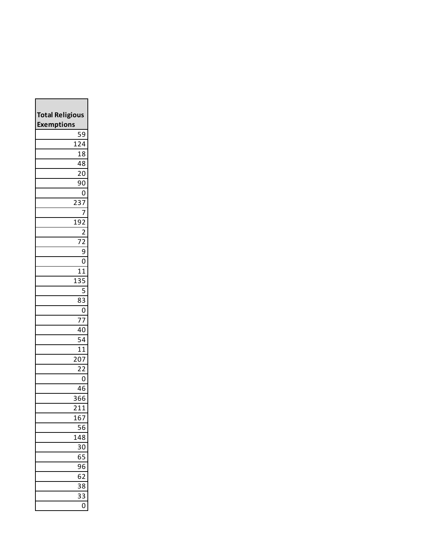| <b>Total Religious</b><br><b>Exemptions</b> |                                |
|---------------------------------------------|--------------------------------|
|                                             | $\overline{5}9$                |
|                                             | 124                            |
|                                             | 18                             |
|                                             | 48                             |
|                                             | $\overline{2}0$                |
|                                             | 90                             |
|                                             | 0                              |
|                                             | 23<br>7                        |
|                                             | 7                              |
|                                             | 192                            |
|                                             | $\overline{c}$                 |
|                                             | 72                             |
|                                             | 9                              |
|                                             | 0                              |
|                                             | $\overline{1}$<br>$\mathbf{1}$ |
|                                             | 135                            |
|                                             | 5                              |
|                                             | 83                             |
|                                             | 0                              |
|                                             | 7 <sub>2</sub>                 |
|                                             | 40<br>-<br>54                  |
|                                             |                                |
|                                             | 11<br>207                      |
|                                             | $\overline{2}2$                |
|                                             | 0                              |
|                                             | 46                             |
|                                             | 366                            |
|                                             | $\frac{1}{2}$ 11               |
|                                             | L67                            |
|                                             | 56                             |
|                                             | 148                            |
|                                             | 30                             |
|                                             | 65                             |
|                                             | 96                             |
|                                             | 62                             |
|                                             | 38                             |
|                                             | 33                             |
|                                             | 0                              |

Г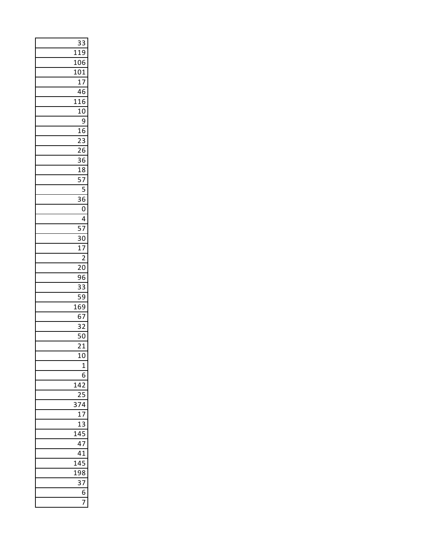|                  | 33                    |
|------------------|-----------------------|
| 119              |                       |
| $\frac{1}{106}$  |                       |
| $\overline{101}$ |                       |
|                  | $\overline{17}$       |
|                  | 46                    |
| 116              |                       |
|                  | $\overline{10}$       |
|                  | $\overline{9}$        |
|                  | 16<br>$\overline{23}$ |
|                  | $\overline{26}$       |
|                  | $\overline{36}$       |
|                  |                       |
|                  | $\frac{18}{57}$       |
|                  | $\overline{5}$        |
|                  | $\overline{36}$       |
|                  | $\overline{0}$        |
|                  | $\overline{4}$        |
|                  | $\frac{1}{57}$        |
|                  | $\overline{30}$       |
|                  | $\overline{17}$       |
|                  | $\frac{1}{2}$         |
|                  | $\overline{20}$       |
|                  | $\overline{96}$       |
|                  | $\overline{33}$       |
|                  | 59                    |
| $\frac{169}{1}$  | 67                    |
|                  | $\overline{32}$       |
|                  | 50                    |
|                  | $\overline{21}$       |
|                  | 10                    |
|                  | $\overline{1}$        |
|                  | 6                     |
| 142              |                       |
|                  |                       |
| 374              |                       |
|                  | 17                    |
| 1                | 3                     |
| 145              |                       |
|                  | 47                    |
|                  | —<br>41               |
| 145              |                       |
| 198              |                       |
|                  | 37                    |
|                  | 6                     |
|                  |                       |